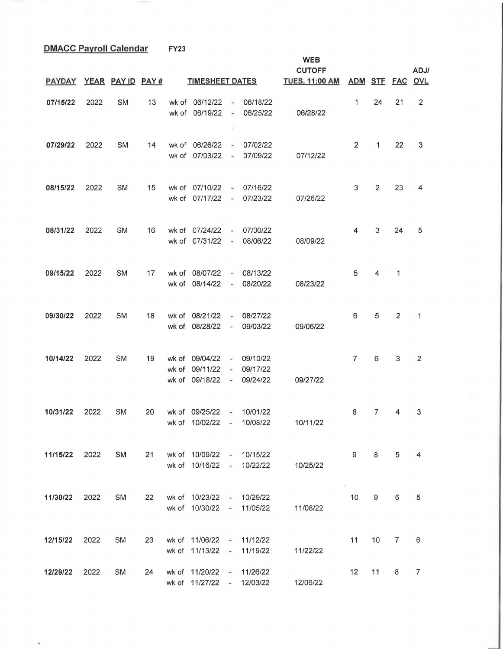**DMACC Payroll Calendar FY23** 

**WEB CUTOFF ADJ/ PAYDAY YEAR PAY ID PAY# TIMESHEET DATES TUES, 11:00 AM ADM STF FAC OVL**  07/15/22 2022 SM 13 wk of 06/12/22 - 06/18/22 24 21 2 wk of 06/19/22 - 06/25/22 06/28/22  $\mathbb{R}$ 07/29/22 2022 SM 14 wk of 06/26/22 - 07/02/22 2 2 1 22 3 wk of 07/03/22 - 07/09/22 07/12/22 **08/15/22** 2022 SM 15 wk of 07/10/22 - 07/16/22 3 2 23 4 wk of 07/17/22 - 07/23/22 07/26/22 **08/31/22** 2022 SM 16 wk of 07 /24/22 - 07 /30/22 4 3 24 5 wk of 07/31/22 - 08/06/22 08/09/22 **09/15/22** 2022 SM 17 wk of 08/07/22 - 08/13/22 5 4 1 wk of 08/14/22 - 08/20/22 08/23/22 09/30/22 2022 SM 18 wk of 08/21/22 - 08/27/22 6 5 2  $\mathbf{1}$ wk of 08/28/22 - 09/03/22 09/06/22 **10/14/22** 2022 SM 19 wk of 09/04/22 - 09/10/22 7 6 3 2 wk of 09/11/22 - 09/17/22 wk of 09/18/22 - 09/24/22 09/27/22 **10/31/22** 2022 SM 20 wk of 09/25/22 - 10/01 /22 8 7 4 3 wk of 10/02/22 - 10/08/22 10/11/22 **11 /15/22** 2022 SM 21 wk of 1 0/09/22 - 10/15/22 9 8 5 4 wk of 10/16/22 - 10/22/22 10/25/22 **11/30/22** 2022 SM 22 wk of 10/23/22 - 10/29/22 10 9 6 5 wk of 10/30/22 - 11/05/22 11/08/22

**12/15/22** 2022 SM 23 wk of 11/06/22 - 11/12/22 11 10 7 6 wk of 11/13/22 - 11/19/22 11/22/22 **12/29/22** 2022 SM 24 wk of 11/20/22 - 11/26/22 12 11 8 7 wk of 11/27/22 - 12/03/22 12/06/22

Ø.